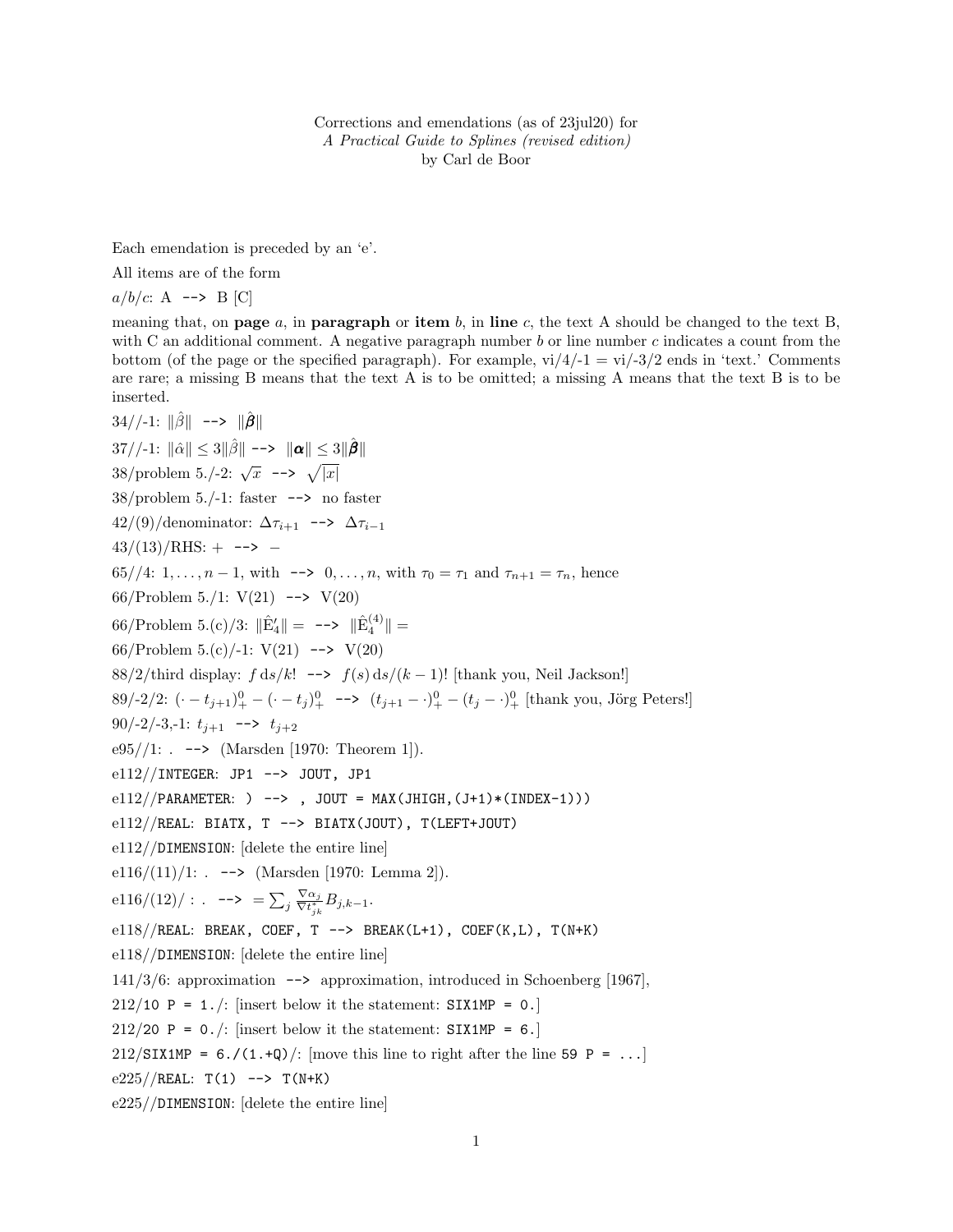Corrections and emendations (as of 23jul20) for A Practical Guide to Splines (revised edition) by Carl de Boor

Each emendation is preceded by an 'e'.

All items are of the form

$$
a/b/c
$$
: A  $\rightarrow$  B [C]

meaning that, on **page**  $a$ , in **paragraph** or **item**  $b$ , in line  $c$ , the text A should be changed to the text B, with C an additional comment. A negative paragraph number  $b$  or line number  $c$  indicates a count from the bottom (of the page or the specified paragraph). For example,  $\frac{vi}{4}-1 = \frac{vi}{-3}}{2}$  ends in 'text.' Comments are rare; a missing B means that the text A is to be omitted; a missing A means that the text B is to be inserted.

34//-1: 
$$
\|\hat{\beta}\| \to \infty
$$
  $\|\hat{\beta}\|$   
\n37//-1:  $\|\hat{\alpha}\| \leq 3\|\hat{\beta}\| \to \infty$   $\|\alpha\| \leq 3\|\hat{\beta}\|$   
\n38/problem 5./-2:  $\sqrt{x} \to -\infty$   $\sqrt{|x|}$   
\n38/problem 5./-1: faster  $\to \infty$  no faster  
\n42/(9)/denominator:  $\Delta \tau_{i+1} \to \infty$   $\Delta \tau_{i-1}$   
\n43/(13)/RHS:  $+\to \infty$   $\leftarrow$   
\n65//4: 1, ...,  $n-1$ , with  $\to \infty$  0, ...,  $n$ , with  $\tau_0 = \tau_1$  and  $\tau_{n+1} = \tau_n$ , hence  
\n66/Problem 5./1: V(21)  $\to \infty$  V(20)  
\n66/Problem 5.(c)/-1: V(21)  $\leftarrow \infty$  V(20)  
\n88/2/third display:  $f ds/k! \to f(s) ds/(k-1)!$  [thank you, Neil Jackson!]  
\n89/2/2:  $(\cdot - t_{j+1})^0 - (\cdot - t_j)^0 - \to (t_{j+1} - \cdot)^0 - (t_j - \cdot)^0$  [thank you, Jörg Peters!]  
\n90/2/-3,-1:  $t_{j+1} \to \to t_{j+2}$   
\n695//1: .  $\to \infty$  (Marsden [1970: Theorem 1]).  
\n812//NTEGER: JPI  $\to \infty$  JOUT, JPI  
\n812//NATEGER: JPI  $\to \infty$  JOUT, JPI  
\n812//NATEGER: JPI  $\to \infty$  JOUT, JPI  
\n812//NERAL: BIATX, T  $\to \infty$  BIATX(JOUT), T(LEFT+JOUT)  
\n812//DIMENSTION: [delete the entire line]  
\n816/(11)/1: .  $\to \infty$  (Marsden [1970: Lemma 2]).  
\n816/(12)/: .  $\to \infty$  [S<sub>1</sub> <